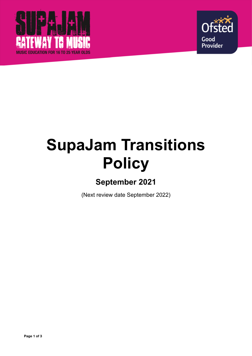



# **SupaJam Transitions Policy**

# **September 2021**

(Next review date September 2022)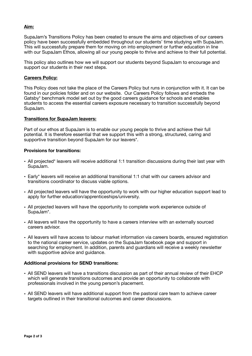# **Aim:**

SupaJam's Transitions Policy has been created to ensure the aims and objectives of our careers policy have been successfully embedded throughout our students' time studying with SupaJam. This will successfully prepare them for moving on into employment or further education in line with our SupaJam Ethos, allowing all our young people to thrive and achieve to their full potential.

This policy also outlines how we will support our students beyond SupaJam to encourage and support our students in their next steps.

#### **Careers Policy:**

This Policy does not take the place of the Careers Policy but runs in conjunction with it. It can be found in our policies folder and on our website. Our Careers Policy follows and embeds the Gatsby\* benchmark model set out by the good careers guidance for schools and enables students to access the essential careers exposure necessary to transition successfully beyond SupaJam.

#### **Transitions for SupaJam leavers:**

Part of our ethos at SupaJam is to enable our young people to thrive and achieve their full potential. It is therefore essential that we support this with a strong, structured, caring and supportive transition beyond SupaJam for our leavers\*.

#### **Provisions for transitions:**

- All projected\* leavers will receive additional 1:1 transition discussions during their last year with SupaJam.
- Early\* leavers will receive an additional transitional 1:1 chat with our careers advisor and transitions coordinator to discuss viable options.
- All projected leavers will have the opportunity to work with our higher education support lead to apply for further education/apprenticeships/university.
- All projected leavers will have the opportunity to complete work experience outside of SupaJam\*.
- All leavers will have the opportunity to have a careers interview with an externally sourced careers advisor.
- All leavers will have access to labour market information via careers boards, ensured registration to the national career service, updates on the SupaJam facebook page and support in searching for employment. In addition, parents and guardians will receive a weekly newsletter with supportive advice and guidance.

#### **Additional provisions for SEND transitions:**

- All SEND leavers will have a transitions discussion as part of their annual review of their EHCP which will generate transitions outcomes and provide an opportunity to collaborate with professionals involved in the young person's placement.
- All SEND leavers will have additional support from the pastoral care team to achieve career targets outlined in their transitional outcomes and career discussions.